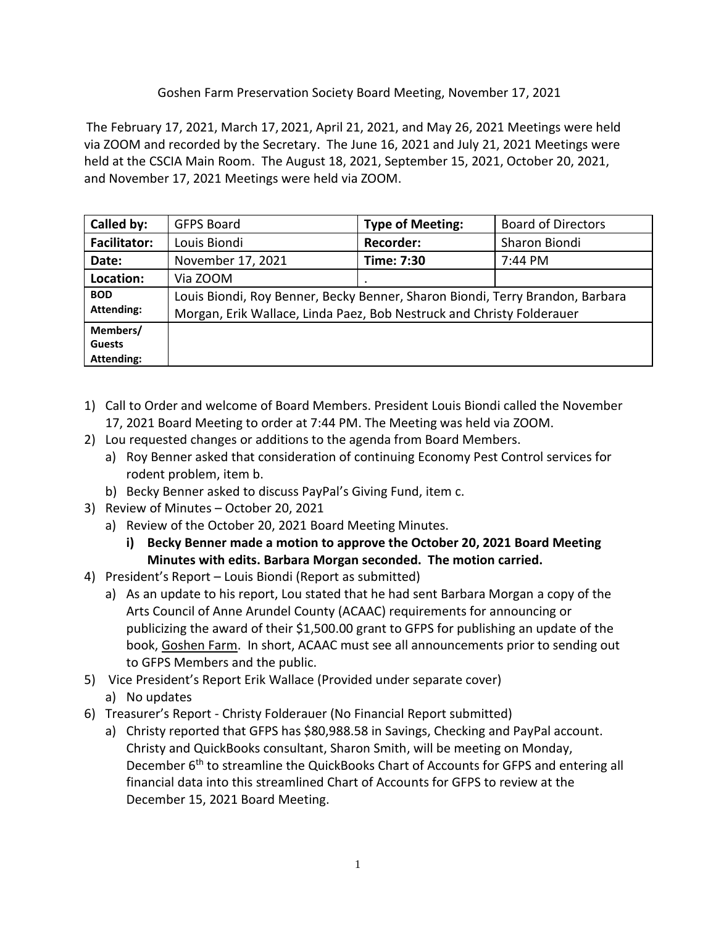## Goshen Farm Preservation Society Board Meeting, November 17, 2021

The February 17, 2021, March 17, 2021, April 21, 2021, and May 26, 2021 Meetings were held via ZOOM and recorded by the Secretary. The June 16, 2021 and July 21, 2021 Meetings were held at the CSCIA Main Room. The August 18, 2021, September 15, 2021, October 20, 2021, and November 17, 2021 Meetings were held via ZOOM.

| Called by:                                     | <b>GFPS Board</b>                                                                                                                                      | <b>Type of Meeting:</b> | <b>Board of Directors</b> |
|------------------------------------------------|--------------------------------------------------------------------------------------------------------------------------------------------------------|-------------------------|---------------------------|
| <b>Facilitator:</b>                            | Louis Biondi                                                                                                                                           | <b>Recorder:</b>        | Sharon Biondi             |
| Date:                                          | November 17, 2021                                                                                                                                      | Time: 7:30              | 7:44 PM                   |
| Location:                                      | Via ZOOM                                                                                                                                               | ٠                       |                           |
| <b>BOD</b><br><b>Attending:</b>                | Louis Biondi, Roy Benner, Becky Benner, Sharon Biondi, Terry Brandon, Barbara<br>Morgan, Erik Wallace, Linda Paez, Bob Nestruck and Christy Folderauer |                         |                           |
| Members/<br><b>Guests</b><br><b>Attending:</b> |                                                                                                                                                        |                         |                           |

- 1) Call to Order and welcome of Board Members. President Louis Biondi called the November 17, 2021 Board Meeting to order at 7:44 PM. The Meeting was held via ZOOM.
- 2) Lou requested changes or additions to the agenda from Board Members.
	- a) Roy Benner asked that consideration of continuing Economy Pest Control services for rodent problem, item b.
	- b) Becky Benner asked to discuss PayPal's Giving Fund, item c.
- 3) Review of Minutes October 20, 2021
	- a) Review of the October 20, 2021 Board Meeting Minutes.
		- **i) Becky Benner made a motion to approve the October 20, 2021 Board Meeting Minutes with edits. Barbara Morgan seconded. The motion carried.**
- 4) President's Report Louis Biondi (Report as submitted)
	- a) As an update to his report, Lou stated that he had sent Barbara Morgan a copy of the Arts Council of Anne Arundel County (ACAAC) requirements for announcing or publicizing the award of their \$1,500.00 grant to GFPS for publishing an update of the book, Goshen Farm. In short, ACAAC must see all announcements prior to sending out to GFPS Members and the public.
- 5) Vice President's Report Erik Wallace (Provided under separate cover)
	- a) No updates
- 6) Treasurer's Report Christy Folderauer (No Financial Report submitted)
	- a) Christy reported that GFPS has \$80,988.58 in Savings, Checking and PayPal account. Christy and QuickBooks consultant, Sharon Smith, will be meeting on Monday, December 6<sup>th</sup> to streamline the QuickBooks Chart of Accounts for GFPS and entering all financial data into this streamlined Chart of Accounts for GFPS to review at the December 15, 2021 Board Meeting.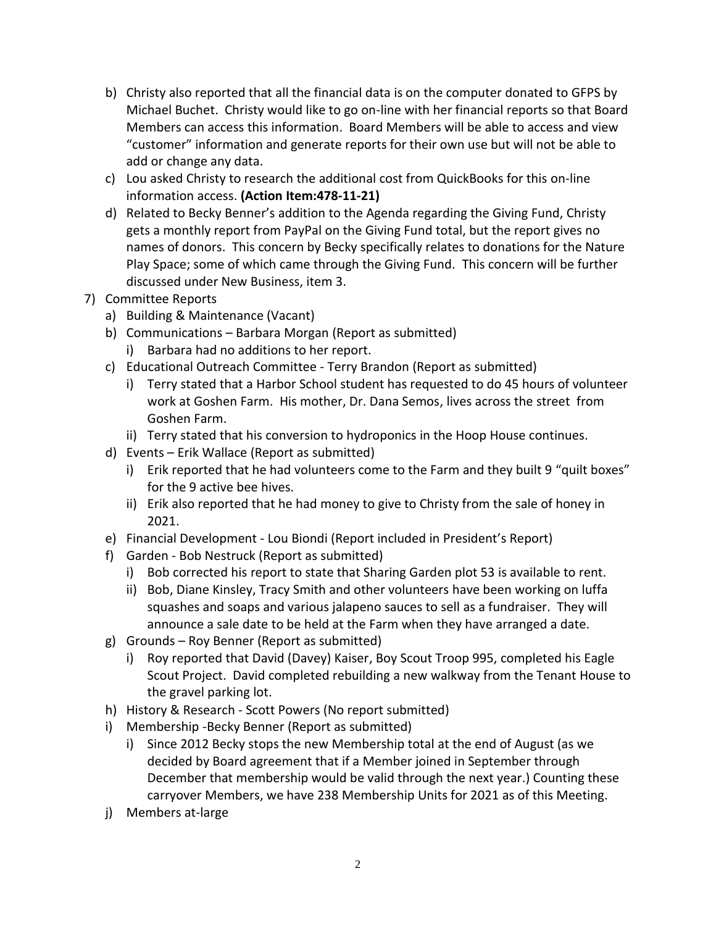- b) Christy also reported that all the financial data is on the computer donated to GFPS by Michael Buchet. Christy would like to go on-line with her financial reports so that Board Members can access this information. Board Members will be able to access and view "customer" information and generate reports for their own use but will not be able to add or change any data.
- c) Lou asked Christy to research the additional cost from QuickBooks for this on-line information access. **(Action Item:478-11-21)**
- d) Related to Becky Benner's addition to the Agenda regarding the Giving Fund, Christy gets a monthly report from PayPal on the Giving Fund total, but the report gives no names of donors. This concern by Becky specifically relates to donations for the Nature Play Space; some of which came through the Giving Fund. This concern will be further discussed under New Business, item 3.
- 7) Committee Reports
	- a) Building & Maintenance (Vacant)
	- b) Communications Barbara Morgan (Report as submitted)
		- i) Barbara had no additions to her report.
	- c) Educational Outreach Committee Terry Brandon (Report as submitted)
		- i) Terry stated that a Harbor School student has requested to do 45 hours of volunteer work at Goshen Farm. His mother, Dr. Dana Semos, lives across the street from Goshen Farm.
		- ii) Terry stated that his conversion to hydroponics in the Hoop House continues.
	- d) Events Erik Wallace (Report as submitted)
		- i) Erik reported that he had volunteers come to the Farm and they built 9 "quilt boxes" for the 9 active bee hives.
		- ii) Erik also reported that he had money to give to Christy from the sale of honey in 2021.
	- e) Financial Development Lou Biondi (Report included in President's Report)
	- f) Garden Bob Nestruck (Report as submitted)
		- i) Bob corrected his report to state that Sharing Garden plot 53 is available to rent.
		- ii) Bob, Diane Kinsley, Tracy Smith and other volunteers have been working on luffa squashes and soaps and various jalapeno sauces to sell as a fundraiser. They will announce a sale date to be held at the Farm when they have arranged a date.
	- g) Grounds Roy Benner (Report as submitted)
		- i) Roy reported that David (Davey) Kaiser, Boy Scout Troop 995, completed his Eagle Scout Project. David completed rebuilding a new walkway from the Tenant House to the gravel parking lot.
	- h) History & Research Scott Powers (No report submitted)
	- i) Membership -Becky Benner (Report as submitted)
		- i) Since 2012 Becky stops the new Membership total at the end of August (as we decided by Board agreement that if a Member joined in September through December that membership would be valid through the next year.) Counting these carryover Members, we have 238 Membership Units for 2021 as of this Meeting.
	- j) Members at-large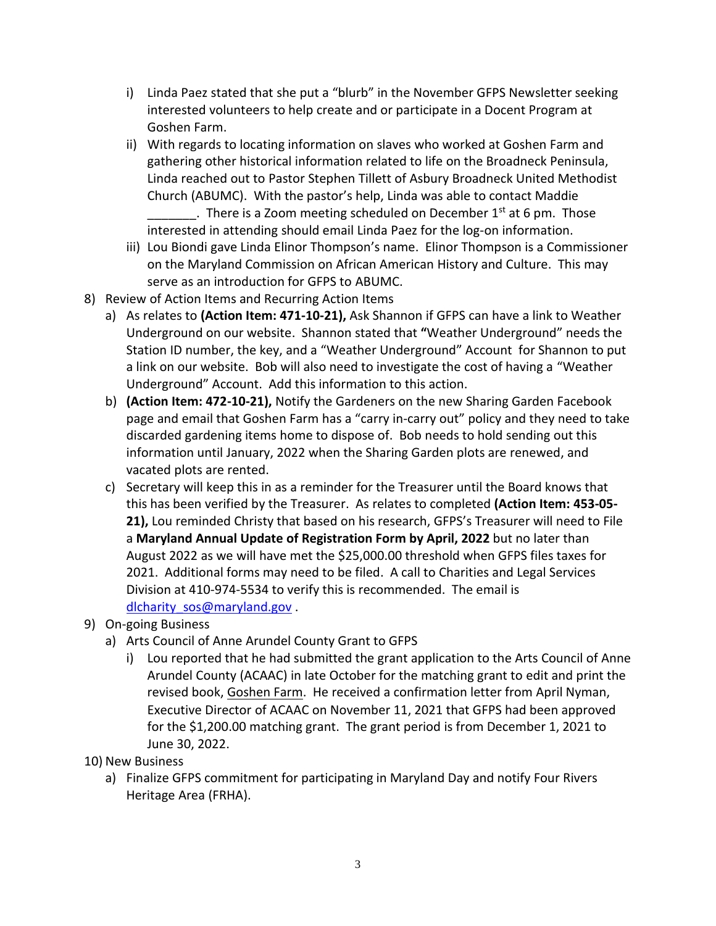- i) Linda Paez stated that she put a "blurb" in the November GFPS Newsletter seeking interested volunteers to help create and or participate in a Docent Program at Goshen Farm.
- ii) With regards to locating information on slaves who worked at Goshen Farm and gathering other historical information related to life on the Broadneck Peninsula, Linda reached out to Pastor Stephen Tillett of Asbury Broadneck United Methodist Church (ABUMC). With the pastor's help, Linda was able to contact Maddie . There is a Zoom meeting scheduled on December  $1<sup>st</sup>$  at 6 pm. Those interested in attending should email Linda Paez for the log-on information.
- iii) Lou Biondi gave Linda Elinor Thompson's name. Elinor Thompson is a Commissioner on the Maryland Commission on African American History and Culture. This may serve as an introduction for GFPS to ABUMC.
- 8) Review of Action Items and Recurring Action Items
	- a) As relates to **(Action Item: 471-10-21),** Ask Shannon if GFPS can have a link to Weather Underground on our website. Shannon stated that **"**Weather Underground" needs the Station ID number, the key, and a "Weather Underground" Account for Shannon to put a link on our website. Bob will also need to investigate the cost of having a "Weather Underground" Account. Add this information to this action.
	- b) **(Action Item: 472-10-21),** Notify the Gardeners on the new Sharing Garden Facebook page and email that Goshen Farm has a "carry in-carry out" policy and they need to take discarded gardening items home to dispose of. Bob needs to hold sending out this information until January, 2022 when the Sharing Garden plots are renewed, and vacated plots are rented.
	- c) Secretary will keep this in as a reminder for the Treasurer until the Board knows that this has been verified by the Treasurer. As relates to completed **(Action Item: 453-05- 21),** Lou reminded Christy that based on his research, GFPS's Treasurer will need to File a **Maryland Annual Update of Registration Form by April, 2022** but no later than August 2022 as we will have met the \$25,000.00 threshold when GFPS files taxes for 2021. Additional forms may need to be filed. A call to Charities and Legal Services Division at 410-974-5534 to verify this is recommended. The email is [dlcharity\\_sos@maryland.gov](mailto:dlcharity_sos@maryland.gov) .
- 9) On-going Business
	- a) Arts Council of Anne Arundel County Grant to GFPS
		- i) Lou reported that he had submitted the grant application to the Arts Council of Anne Arundel County (ACAAC) in late October for the matching grant to edit and print the revised book, Goshen Farm. He received a confirmation letter from April Nyman, Executive Director of ACAAC on November 11, 2021 that GFPS had been approved for the \$1,200.00 matching grant. The grant period is from December 1, 2021 to June 30, 2022.
- 10) New Business
	- a) Finalize GFPS commitment for participating in Maryland Day and notify Four Rivers Heritage Area (FRHA).